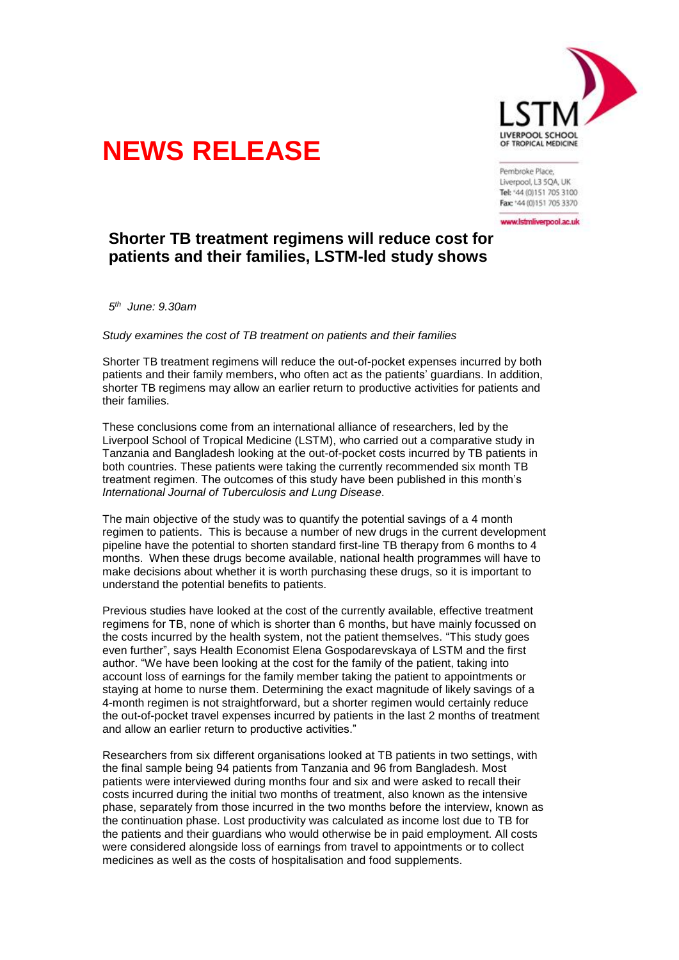

## **NEWS RELEASE**

Pembroke Place. Liverpool, L3 5QA, UK Tel: '44 (0)151 705 3100 Fax: '44 (0)151 705 3370

www.lstmliverpool.ac.uk

## **Shorter TB treatment regimens will reduce cost for patients and their families, LSTM-led study shows**

*5 th June: 9.30am*

*Study examines the cost of TB treatment on patients and their families*

Shorter TB treatment regimens will reduce the out-of-pocket expenses incurred by both patients and their family members, who often act as the patients' guardians. In addition, shorter TB regimens may allow an earlier return to productive activities for patients and their families.

These conclusions come from an international alliance of researchers, led by the Liverpool School of Tropical Medicine (LSTM), who carried out a comparative study in Tanzania and Bangladesh looking at the out-of-pocket costs incurred by TB patients in both countries. These patients were taking the currently recommended six month TB treatment regimen. The outcomes of this study have been published in this month's *International Journal of Tuberculosis and Lung Disease*.

The main objective of the study was to quantify the potential savings of a 4 month regimen to patients. This is because a number of new drugs in the current development pipeline have the potential to shorten standard first-line TB therapy from 6 months to 4 months. When these drugs become available, national health programmes will have to make decisions about whether it is worth purchasing these drugs, so it is important to understand the potential benefits to patients.

Previous studies have looked at the cost of the currently available, effective treatment regimens for TB, none of which is shorter than 6 months, but have mainly focussed on the costs incurred by the health system, not the patient themselves. "This study goes even further", says Health Economist Elena Gospodarevskaya of LSTM and the first author. "We have been looking at the cost for the family of the patient, taking into account loss of earnings for the family member taking the patient to appointments or staying at home to nurse them. Determining the exact magnitude of likely savings of a 4-month regimen is not straightforward, but a shorter regimen would certainly reduce the out-of-pocket travel expenses incurred by patients in the last 2 months of treatment and allow an earlier return to productive activities."

Researchers from six different organisations looked at TB patients in two settings, with the final sample being 94 patients from Tanzania and 96 from Bangladesh. Most patients were interviewed during months four and six and were asked to recall their costs incurred during the initial two months of treatment, also known as the intensive phase, separately from those incurred in the two months before the interview, known as the continuation phase. Lost productivity was calculated as income lost due to TB for the patients and their guardians who would otherwise be in paid employment. All costs were considered alongside loss of earnings from travel to appointments or to collect medicines as well as the costs of hospitalisation and food supplements.